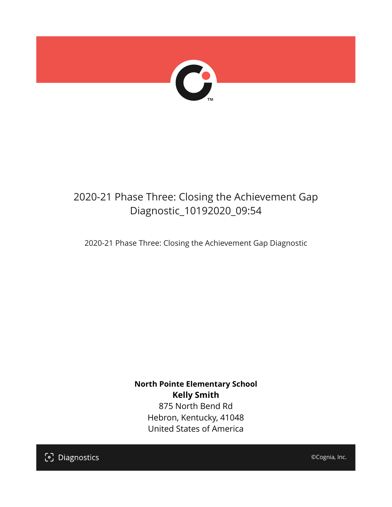

# 2020-21 Phase Three: Closing the Achievement Gap Diagnostic\_10192020\_09:54

2020-21 Phase Three: Closing the Achievement Gap Diagnostic

**North Pointe Elementary School Kelly Smith** 875 North Bend Rd Hebron, Kentucky, 41048 United States of America

[၁] Diagnostics

©Cognia, Inc.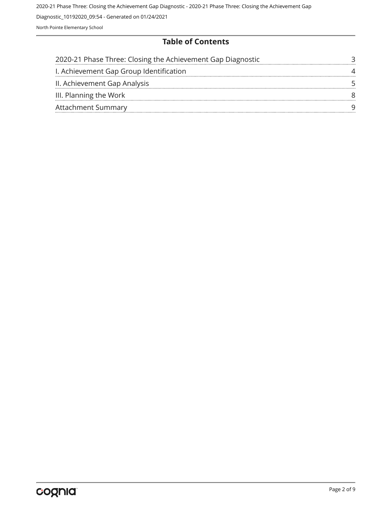## **Table of Contents**

| 2020-21 Phase Three: Closing the Achievement Gap Diagnostic |  |
|-------------------------------------------------------------|--|
| I. Achievement Gap Group Identification                     |  |
| II. Achievement Gap Analysis                                |  |
| III. Planning the Work                                      |  |
| <b>Attachment Summary</b>                                   |  |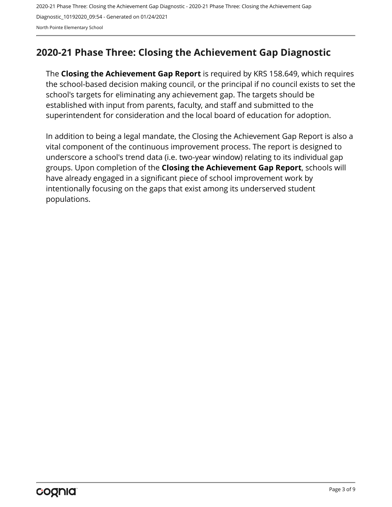# <span id="page-2-0"></span>**2020-21 Phase Three: Closing the Achievement Gap Diagnostic**

The **Closing the Achievement Gap Report** is required by KRS 158.649, which requires the school-based decision making council, or the principal if no council exists to set the school's targets for eliminating any achievement gap. The targets should be established with input from parents, faculty, and staff and submitted to the superintendent for consideration and the local board of education for adoption.

In addition to being a legal mandate, the Closing the Achievement Gap Report is also a vital component of the continuous improvement process. The report is designed to underscore a school's trend data (i.e. two-year window) relating to its individual gap groups. Upon completion of the **Closing the Achievement Gap Report**, schools will have already engaged in a significant piece of school improvement work by intentionally focusing on the gaps that exist among its underserved student populations.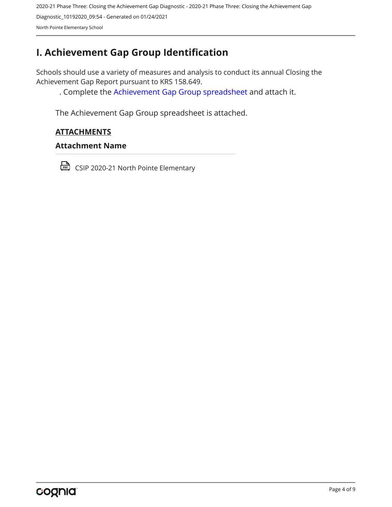# <span id="page-3-0"></span>**I. Achievement Gap Group Identification**

Schools should use a variety of measures and analysis to conduct its annual Closing the Achievement Gap Report pursuant to KRS 158.649.

. Complete the [Achievement Gap Group spreadsheet a](https://drive.google.com/file/d/0B7A6n8V1dmUOWFNKY2dSTTFibjA/view?usp=sharing)nd attach it.

The Achievement Gap Group spreadsheet is attached.

## **ATTACHMENTS**

#### **Attachment Name**

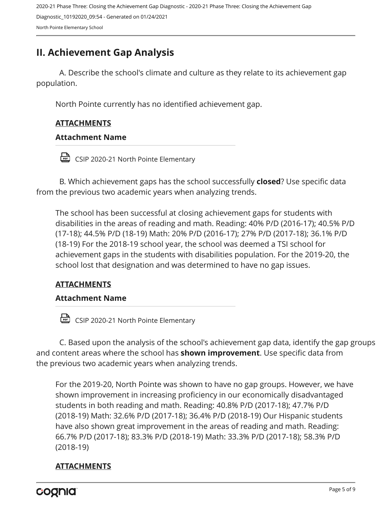# <span id="page-4-0"></span>**II. Achievement Gap Analysis**

A. Describe the school's climate and culture as they relate to its achievement gap population.

North Pointe currently has no identified achievement gap.

## **ATTACHMENTS**

## **Attachment Name**

CSIP 2020-21 North Pointe Elementary

B. Which achievement gaps has the school successfully **closed**? Use specific data from the previous two academic years when analyzing trends.

The school has been successful at closing achievement gaps for students with disabilities in the areas of reading and math. Reading: 40% P/D (2016-17); 40.5% P/D (17-18); 44.5% P/D (18-19) Math: 20% P/D (2016-17); 27% P/D (2017-18); 36.1% P/D (18-19) For the 2018-19 school year, the school was deemed a TSI school for achievement gaps in the students with disabilities population. For the 2019-20, the school lost that designation and was determined to have no gap issues.

## **ATTACHMENTS**

### **Attachment Name**

CSIP 2020-21 North Pointe Elementary

C. Based upon the analysis of the school's achievement gap data, identify the gap groups and content areas where the school has **shown improvement**. Use specific data from the previous two academic years when analyzing trends.

For the 2019-20, North Pointe was shown to have no gap groups. However, we have shown improvement in increasing proficiency in our economically disadvantaged students in both reading and math. Reading: 40.8% P/D (2017-18); 47.7% P/D (2018-19) Math: 32.6% P/D (2017-18); 36.4% P/D (2018-19) Our Hispanic students have also shown great improvement in the areas of reading and math. Reading: 66.7% P/D (2017-18); 83.3% P/D (2018-19) Math: 33.3% P/D (2017-18); 58.3% P/D (2018-19)

## **ATTACHMENTS**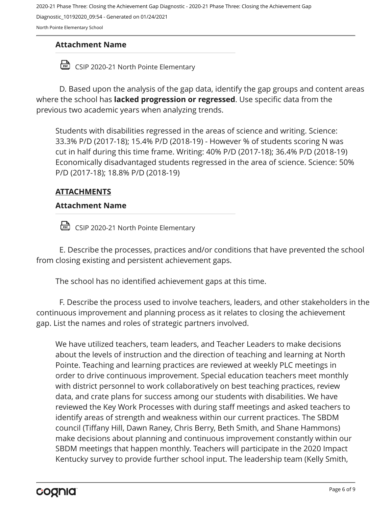2020-21 Phase Three: Closing the Achievement Gap Diagnostic - 2020-21 Phase Three: Closing the Achievement Gap

Diagnostic\_10192020\_09:54 - Generated on 01/24/2021

North Pointe Elementary School

## **Attachment Name**

CSIP 2020-21 North Pointe Elementary

D. Based upon the analysis of the gap data, identify the gap groups and content areas where the school has **lacked progression or regressed**. Use specific data from the previous two academic years when analyzing trends.

Students with disabilities regressed in the areas of science and writing. Science: 33.3% P/D (2017-18); 15.4% P/D (2018-19) - However % of students scoring N was cut in half during this time frame. Writing: 40% P/D (2017-18); 36.4% P/D (2018-19) Economically disadvantaged students regressed in the area of science. Science: 50% P/D (2017-18); 18.8% P/D (2018-19)

## **ATTACHMENTS**

## **Attachment Name**

CSIP 2020-21 North Pointe Elementary

E. Describe the processes, practices and/or conditions that have prevented the school from closing existing and persistent achievement gaps.

The school has no identified achievement gaps at this time.

F. Describe the process used to involve teachers, leaders, and other stakeholders in the continuous improvement and planning process as it relates to closing the achievement gap. List the names and roles of strategic partners involved.

We have utilized teachers, team leaders, and Teacher Leaders to make decisions about the levels of instruction and the direction of teaching and learning at North Pointe. Teaching and learning practices are reviewed at weekly PLC meetings in order to drive continuous improvement. Special education teachers meet monthly with district personnel to work collaboratively on best teaching practices, review data, and crate plans for success among our students with disabilities. We have reviewed the Key Work Processes with during staff meetings and asked teachers to identify areas of strength and weakness within our current practices. The SBDM council (Tiffany Hill, Dawn Raney, Chris Berry, Beth Smith, and Shane Hammons) make decisions about planning and continuous improvement constantly within our SBDM meetings that happen monthly. Teachers will participate in the 2020 Impact Kentucky survey to provide further school input. The leadership team (Kelly Smith,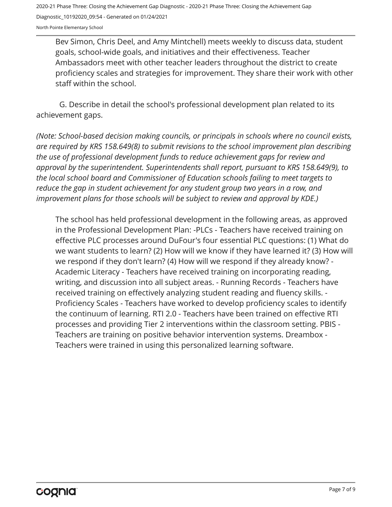North Pointe Elementary School

Bev Simon, Chris Deel, and Amy Mintchell) meets weekly to discuss data, student goals, school-wide goals, and initiatives and their effectiveness. Teacher Ambassadors meet with other teacher leaders throughout the district to create proficiency scales and strategies for improvement. They share their work with other staff within the school.

G. Describe in detail the school's professional development plan related to its achievement gaps.

*(Note: School-based decision making councils, or principals in schools where no council exists, are required by KRS 158.649(8) to submit revisions to the school improvement plan describing the use of professional development funds to reduce achievement gaps for review and approval by the superintendent. Superintendents shall report, pursuant to KRS 158.649(9), to the local school board and Commissioner of Education schools failing to meet targets to reduce the gap in student achievement for any student group two years in a row, and improvement plans for those schools will be subject to review and approval by KDE.)* 

The school has held professional development in the following areas, as approved in the Professional Development Plan: -PLCs - Teachers have received training on effective PLC processes around DuFour's four essential PLC questions: (1) What do we want students to learn? (2) How will we know if they have learned it? (3) How will we respond if they don't learn? (4) How will we respond if they already know? - Academic Literacy - Teachers have received training on incorporating reading, writing, and discussion into all subject areas. - Running Records - Teachers have received training on effectively analyzing student reading and fluency skills. - Proficiency Scales - Teachers have worked to develop proficiency scales to identify the continuum of learning. RTI 2.0 - Teachers have been trained on effective RTI processes and providing Tier 2 interventions within the classroom setting. PBIS - Teachers are training on positive behavior intervention systems. Dreambox - Teachers were trained in using this personalized learning software.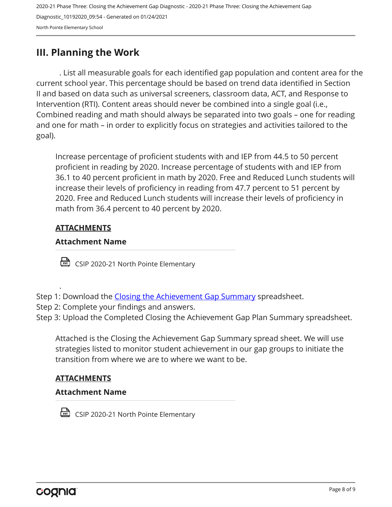## <span id="page-7-0"></span>**III. Planning the Work**

. List all measurable goals for each identified gap population and content area for the current school year. This percentage should be based on trend data identified in Section II and based on data such as universal screeners, classroom data, ACT, and Response to Intervention (RTI). Content areas should never be combined into a single goal (i.e., Combined reading and math should always be separated into two goals – one for reading and one for math – in order to explicitly focus on strategies and activities tailored to the goal).

Increase percentage of proficient students with and IEP from 44.5 to 50 percent proficient in reading by 2020. Increase percentage of students with and IEP from 36.1 to 40 percent proficient in math by 2020. Free and Reduced Lunch students will increase their levels of proficiency in reading from 47.7 percent to 51 percent by 2020. Free and Reduced Lunch students will increase their levels of proficiency in math from 36.4 percent to 40 percent by 2020.

## **ATTACHMENTS**

.

## **Attachment Name**

CSIP 2020-21 North Pointe Elementary

- Step 1: Download the [Closing the Achievement Gap Summary](https://drive.google.com/file/d/0B6i22i6omk4ySmUtTHZuSVRFazQ/view) spreadsheet.
- Step 2: Complete your findings and answers.
- Step 3: Upload the Completed Closing the Achievement Gap Plan Summary spreadsheet.

Attached is the Closing the Achievement Gap Summary spread sheet. We will use strategies listed to monitor student achievement in our gap groups to initiate the transition from where we are to where we want to be.

## **ATTACHMENTS**

### **Attachment Name**

CSIP 2020-21 North Pointe Elementary